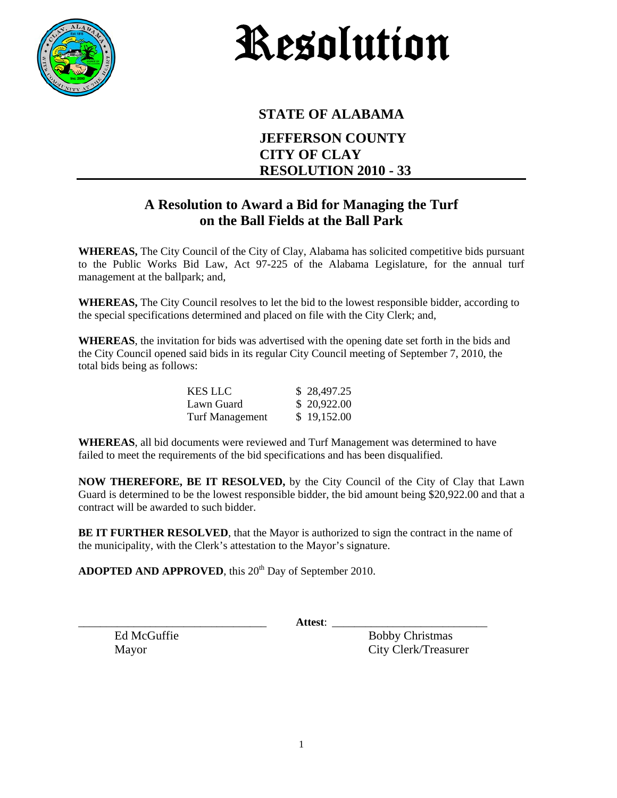

## Resolution

## **STATE OF ALABAMA JEFFERSON COUNTY CITY OF CLAY RESOLUTION 2010 - 33**

## **A Resolution to Award a Bid for Managing the Turf on the Ball Fields at the Ball Park**

**WHEREAS,** The City Council of the City of Clay, Alabama has solicited competitive bids pursuant to the Public Works Bid Law, Act 97-225 of the Alabama Legislature, for the annual turf management at the ballpark; and,

**WHEREAS,** The City Council resolves to let the bid to the lowest responsible bidder, according to the special specifications determined and placed on file with the City Clerk; and,

**WHEREAS**, the invitation for bids was advertised with the opening date set forth in the bids and the City Council opened said bids in its regular City Council meeting of September 7, 2010, the total bids being as follows:

| <b>KES LLC</b>         | \$28,497.25 |
|------------------------|-------------|
| Lawn Guard             | \$20,922.00 |
| <b>Turf Management</b> | \$19,152.00 |

**WHEREAS**, all bid documents were reviewed and Turf Management was determined to have failed to meet the requirements of the bid specifications and has been disqualified.

**NOW THEREFORE, BE IT RESOLVED,** by the City Council of the City of Clay that Lawn Guard is determined to be the lowest responsible bidder, the bid amount being \$20,922.00 and that a contract will be awarded to such bidder.

**BE IT FURTHER RESOLVED**, that the Mayor is authorized to sign the contract in the name of the municipality, with the Clerk's attestation to the Mayor's signature.

ADOPTED AND APPROVED, this 20<sup>th</sup> Day of September 2010.

\_\_\_\_\_\_\_\_\_\_\_\_\_\_\_\_\_\_\_\_\_\_\_\_\_\_\_\_\_\_\_\_\_\_ **Attest**: \_\_\_\_\_\_\_\_\_\_\_\_\_\_\_\_\_\_\_\_\_\_\_\_\_\_\_\_

Ed McGuffie Bobby Christmas Mayor City Clerk/Treasurer